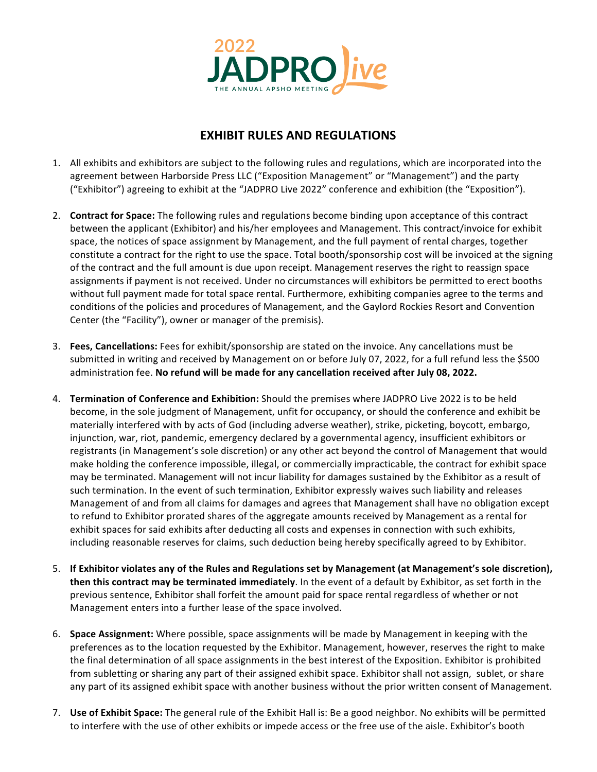

## **EXHIBIT RULES AND REGULATIONS**

- 1. All exhibits and exhibitors are subject to the following rules and regulations, which are incorporated into the agreement between Harborside Press LLC ("Exposition Management" or "Management") and the party ("Exhibitor") agreeing to exhibit at the "JADPRO Live 2022" conference and exhibition (the "Exposition").
- 2. **Contract for Space:** The following rules and regulations become binding upon acceptance of this contract between the applicant (Exhibitor) and his/her employees and Management. This contract/invoice for exhibit space, the notices of space assignment by Management, and the full payment of rental charges, together constitute a contract for the right to use the space. Total booth/sponsorship cost will be invoiced at the signing of the contract and the full amount is due upon receipt. Management reserves the right to reassign space assignments if payment is not received. Under no circumstances will exhibitors be permitted to erect booths without full payment made for total space rental. Furthermore, exhibiting companies agree to the terms and conditions of the policies and procedures of Management, and the Gaylord Rockies Resort and Convention Center (the "Facility"), owner or manager of the premisis).
- 3. **Fees, Cancellations:** Fees for exhibit/sponsorship are stated on the invoice. Any cancellations must be submitted in writing and received by Management on or before July 07, 2022, for a full refund less the \$500 administration fee. No refund will be made for any cancellation received after July 08, 2022.
- 4. **Termination of Conference and Exhibition:** Should the premises where JADPRO Live 2022 is to be held become, in the sole judgment of Management, unfit for occupancy, or should the conference and exhibit be materially interfered with by acts of God (including adverse weather), strike, picketing, boycott, embargo, injunction, war, riot, pandemic, emergency declared by a governmental agency, insufficient exhibitors or registrants (in Management's sole discretion) or any other act beyond the control of Management that would make holding the conference impossible, illegal, or commercially impracticable, the contract for exhibit space may be terminated. Management will not incur liability for damages sustained by the Exhibitor as a result of such termination. In the event of such termination, Exhibitor expressly waives such liability and releases Management of and from all claims for damages and agrees that Management shall have no obligation except to refund to Exhibitor prorated shares of the aggregate amounts received by Management as a rental for exhibit spaces for said exhibits after deducting all costs and expenses in connection with such exhibits, including reasonable reserves for claims, such deduction being hereby specifically agreed to by Exhibitor.
- 5. If Exhibitor violates any of the Rules and Regulations set by Management (at Management's sole discretion), **then this contract may be terminated immediately**. In the event of a default by Exhibitor, as set forth in the previous sentence, Exhibitor shall forfeit the amount paid for space rental regardless of whether or not Management enters into a further lease of the space involved.
- 6. **Space Assignment:** Where possible, space assignments will be made by Management in keeping with the preferences as to the location requested by the Exhibitor. Management, however, reserves the right to make the final determination of all space assignments in the best interest of the Exposition. Exhibitor is prohibited from subletting or sharing any part of their assigned exhibit space. Exhibitor shall not assign, sublet, or share any part of its assigned exhibit space with another business without the prior written consent of Management.
- 7. Use of Exhibit Space: The general rule of the Exhibit Hall is: Be a good neighbor. No exhibits will be permitted to interfere with the use of other exhibits or impede access or the free use of the aisle. Exhibitor's booth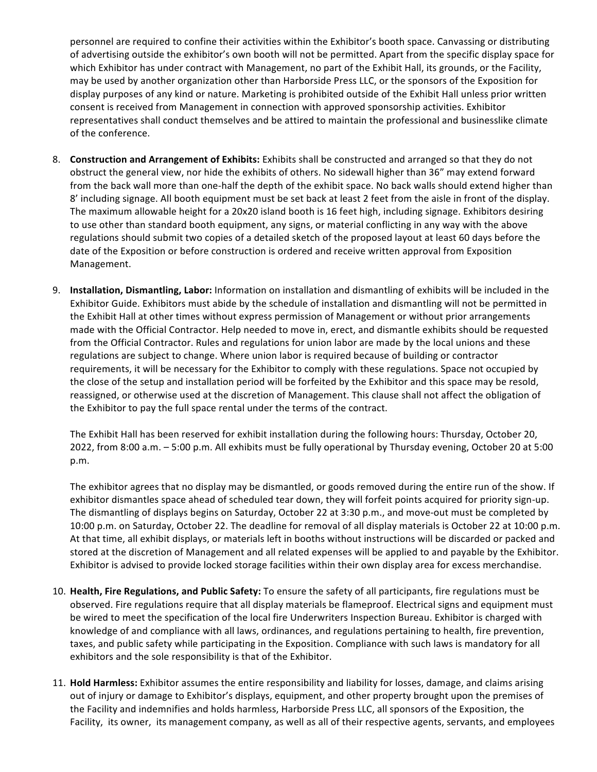personnel are required to confine their activities within the Exhibitor's booth space. Canvassing or distributing of advertising outside the exhibitor's own booth will not be permitted. Apart from the specific display space for which Exhibitor has under contract with Management, no part of the Exhibit Hall, its grounds, or the Facility, may be used by another organization other than Harborside Press LLC, or the sponsors of the Exposition for display purposes of any kind or nature. Marketing is prohibited outside of the Exhibit Hall unless prior written consent is received from Management in connection with approved sponsorship activities. Exhibitor representatives shall conduct themselves and be attired to maintain the professional and businesslike climate of the conference.

- 8. **Construction and Arrangement of Exhibits:** Exhibits shall be constructed and arranged so that they do not obstruct the general view, nor hide the exhibits of others. No sidewall higher than 36" may extend forward from the back wall more than one-half the depth of the exhibit space. No back walls should extend higher than 8' including signage. All booth equipment must be set back at least 2 feet from the aisle in front of the display. The maximum allowable height for a 20x20 island booth is 16 feet high, including signage. Exhibitors desiring to use other than standard booth equipment, any signs, or material conflicting in any way with the above regulations should submit two copies of a detailed sketch of the proposed layout at least 60 days before the date of the Exposition or before construction is ordered and receive written approval from Exposition Management.
- 9. **Installation, Dismantling, Labor:** Information on installation and dismantling of exhibits will be included in the Exhibitor Guide. Exhibitors must abide by the schedule of installation and dismantling will not be permitted in the Exhibit Hall at other times without express permission of Management or without prior arrangements made with the Official Contractor. Help needed to move in, erect, and dismantle exhibits should be requested from the Official Contractor. Rules and regulations for union labor are made by the local unions and these regulations are subject to change. Where union labor is required because of building or contractor requirements, it will be necessary for the Exhibitor to comply with these regulations. Space not occupied by the close of the setup and installation period will be forfeited by the Exhibitor and this space may be resold, reassigned, or otherwise used at the discretion of Management. This clause shall not affect the obligation of the Exhibitor to pay the full space rental under the terms of the contract.

The Exhibit Hall has been reserved for exhibit installation during the following hours: Thursday, October 20, 2022, from 8:00 a.m. - 5:00 p.m. All exhibits must be fully operational by Thursday evening, October 20 at 5:00 p.m.

The exhibitor agrees that no display may be dismantled, or goods removed during the entire run of the show. If exhibitor dismantles space ahead of scheduled tear down, they will forfeit points acquired for priority sign-up. The dismantling of displays begins on Saturday, October 22 at 3:30 p.m., and move-out must be completed by 10:00 p.m. on Saturday, October 22. The deadline for removal of all display materials is October 22 at 10:00 p.m. At that time, all exhibit displays, or materials left in booths without instructions will be discarded or packed and stored at the discretion of Management and all related expenses will be applied to and payable by the Exhibitor. Exhibitor is advised to provide locked storage facilities within their own display area for excess merchandise.

- 10. Health, Fire Regulations, and Public Safety: To ensure the safety of all participants, fire regulations must be observed. Fire regulations require that all display materials be flameproof. Electrical signs and equipment must be wired to meet the specification of the local fire Underwriters Inspection Bureau. Exhibitor is charged with knowledge of and compliance with all laws, ordinances, and regulations pertaining to health, fire prevention, taxes, and public safety while participating in the Exposition. Compliance with such laws is mandatory for all exhibitors and the sole responsibility is that of the Exhibitor.
- 11. Hold Harmless: Exhibitor assumes the entire responsibility and liability for losses, damage, and claims arising out of injury or damage to Exhibitor's displays, equipment, and other property brought upon the premises of the Facility and indemnifies and holds harmless, Harborside Press LLC, all sponsors of the Exposition, the Facility, its owner, its management company, as well as all of their respective agents, servants, and employees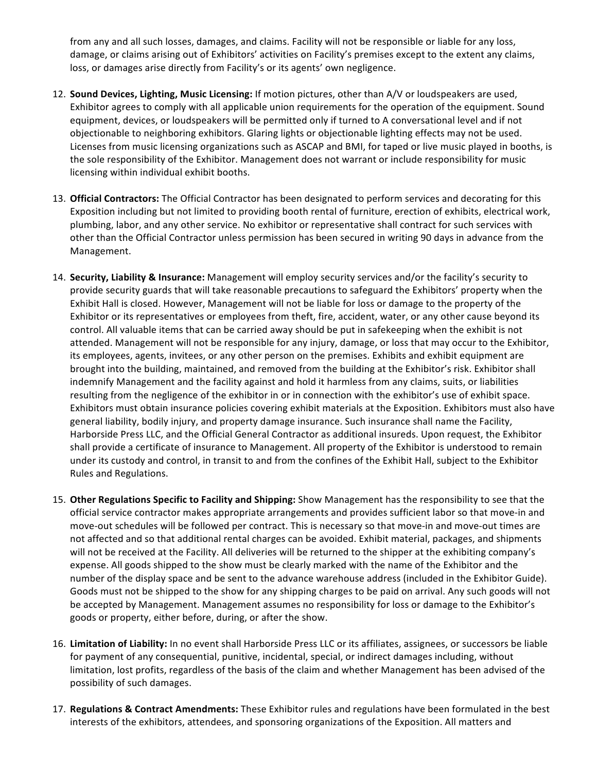from any and all such losses, damages, and claims. Facility will not be responsible or liable for any loss, damage, or claims arising out of Exhibitors' activities on Facility's premises except to the extent any claims, loss, or damages arise directly from Facility's or its agents' own negligence.

- 12. **Sound Devices, Lighting, Music Licensing:** If motion pictures, other than A/V or loudspeakers are used, Exhibitor agrees to comply with all applicable union requirements for the operation of the equipment. Sound equipment, devices, or loudspeakers will be permitted only if turned to A conversational level and if not objectionable to neighboring exhibitors. Glaring lights or objectionable lighting effects may not be used. Licenses from music licensing organizations such as ASCAP and BMI, for taped or live music played in booths, is the sole responsibility of the Exhibitor. Management does not warrant or include responsibility for music licensing within individual exhibit booths.
- 13. Official Contractors: The Official Contractor has been designated to perform services and decorating for this Exposition including but not limited to providing booth rental of furniture, erection of exhibits, electrical work, plumbing, labor, and any other service. No exhibitor or representative shall contract for such services with other than the Official Contractor unless permission has been secured in writing 90 days in advance from the Management.
- 14. **Security, Liability & Insurance:** Management will employ security services and/or the facility's security to provide security guards that will take reasonable precautions to safeguard the Exhibitors' property when the Exhibit Hall is closed. However, Management will not be liable for loss or damage to the property of the Exhibitor or its representatives or employees from theft, fire, accident, water, or any other cause beyond its control. All valuable items that can be carried away should be put in safekeeping when the exhibit is not attended. Management will not be responsible for any injury, damage, or loss that may occur to the Exhibitor, its employees, agents, invitees, or any other person on the premises. Exhibits and exhibit equipment are brought into the building, maintained, and removed from the building at the Exhibitor's risk. Exhibitor shall indemnify Management and the facility against and hold it harmless from any claims, suits, or liabilities resulting from the negligence of the exhibitor in or in connection with the exhibitor's use of exhibit space. Exhibitors must obtain insurance policies covering exhibit materials at the Exposition. Exhibitors must also have general liability, bodily injury, and property damage insurance. Such insurance shall name the Facility, Harborside Press LLC, and the Official General Contractor as additional insureds. Upon request, the Exhibitor shall provide a certificate of insurance to Management. All property of the Exhibitor is understood to remain under its custody and control, in transit to and from the confines of the Exhibit Hall, subject to the Exhibitor Rules and Regulations.
- 15. Other Regulations Specific to Facility and Shipping: Show Management has the responsibility to see that the official service contractor makes appropriate arrangements and provides sufficient labor so that move-in and move-out schedules will be followed per contract. This is necessary so that move-in and move-out times are not affected and so that additional rental charges can be avoided. Exhibit material, packages, and shipments will not be received at the Facility. All deliveries will be returned to the shipper at the exhibiting company's expense. All goods shipped to the show must be clearly marked with the name of the Exhibitor and the number of the display space and be sent to the advance warehouse address (included in the Exhibitor Guide). Goods must not be shipped to the show for any shipping charges to be paid on arrival. Any such goods will not be accepted by Management. Management assumes no responsibility for loss or damage to the Exhibitor's goods or property, either before, during, or after the show.
- 16. Limitation of Liability: In no event shall Harborside Press LLC or its affiliates, assignees, or successors be liable for payment of any consequential, punitive, incidental, special, or indirect damages including, without limitation, lost profits, regardless of the basis of the claim and whether Management has been advised of the possibility of such damages.
- 17. **Regulations & Contract Amendments:** These Exhibitor rules and regulations have been formulated in the best interests of the exhibitors, attendees, and sponsoring organizations of the Exposition. All matters and